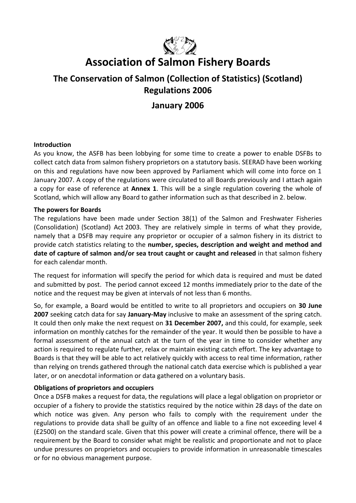

# **Association of Salmon Fishery Boards**

## **The Conservation of Salmon (Collection of Statistics) (Scotland) Regulations 2006**

## **January 2006**

### **Introduction**

As you know, the ASFB has been lobbying for some time to create a power to enable DSFBs to collect catch data from salmon fishery proprietors on a statutory basis. SEERAD have been working on this and regulations have now been approved by Parliament which will come into force on 1 January 2007. A copy of the regulations were circulated to all Boards previously and I attach again a copy for ease of reference at **Annex 1**. This will be a single regulation covering the whole of Scotland, which will allow any Board to gather information such as that described in 2. below.

## **The powers for Boards**

The regulations have been made under Section 38(1) of the Salmon and Freshwater Fisheries (Consolidation) (Scotland) Act 2003. They are relatively simple in terms of what they provide, namely that a DSFB may require any proprietor or occupier of a salmon fishery in its district to provide catch statistics relating to the **number, species, description and weight and method and date of capture of salmon and/or sea trout caught or caught and released** in that salmon fishery for each calendar month.

The request for information will specify the period for which data is required and must be dated and submitted by post. The period cannot exceed 12 months immediately prior to the date of the notice and the request may be given at intervals of not less than 6 months.

So, for example, a Board would be entitled to write to all proprietors and occupiers on **30 June 2007** seeking catch data for say **January-May** inclusive to make an assessment of the spring catch. It could then only make the next request on **31 December 2007,** and this could, for example, seek information on monthly catches for the remainder of the year. It would then be possible to have a formal assessment of the annual catch at the turn of the year in time to consider whether any action is required to regulate further, relax or maintain existing catch effort. The key advantage to Boards is that they will be able to act relatively quickly with access to real time information, rather than relying on trends gathered through the national catch data exercise which is published a year later, or on anecdotal information or data gathered on a voluntary basis.

## **Obligations of proprietors and occupiers**

Once a DSFB makes a request for data, the regulations will place a legal obligation on proprietor or occupier of a fishery to provide the statistics required by the notice within 28 days of the date on which notice was given. Any person who fails to comply with the requirement under the regulations to provide data shall be guilty of an offence and liable to a fine not exceeding level 4 (£2500) on the standard scale. Given that this power will create a criminal offence, there will be a requirement by the Board to consider what might be realistic and proportionate and not to place undue pressures on proprietors and occupiers to provide information in unreasonable timescales or for no obvious management purpose.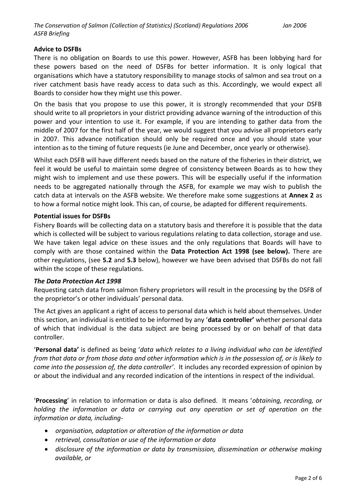## **Advice to DSFBs**

There is no obligation on Boards to use this power. However, ASFB has been lobbying hard for these powers based on the need of DSFBs for better information. It is only logical that organisations which have a statutory responsibility to manage stocks of salmon and sea trout on a river catchment basis have ready access to data such as this. Accordingly, we would expect all Boards to consider how they might use this power.

On the basis that you propose to use this power, it is strongly recommended that your DSFB should write to all proprietors in your district providing advance warning of the introduction of this power and your intention to use it. For example, if you are intending to gather data from the middle of 2007 for the first half of the year, we would suggest that you advise all proprietors early in 2007. This advance notification should only be required once and you should state your intention as to the timing of future requests (ie June and December, once yearly or otherwise).

Whilst each DSFB will have different needs based on the nature of the fisheries in their district, we feel it would be useful to maintain some degree of consistency between Boards as to how they might wish to implement and use these powers. This will be especially useful if the information needs to be aggregated nationally through the ASFB, for example we may wish to publish the catch data at intervals on the ASFB website. We therefore make some suggestions at **Annex 2** as to how a formal notice might look. This can, of course, be adapted for different requirements.

## **Potential issues for DSFBs**

Fishery Boards will be collecting data on a statutory basis and therefore it is possible that the data which is collected will be subject to various regulations relating to data collection, storage and use. We have taken legal advice on these issues and the only regulations that Boards will have to comply with are those contained within the **Data Protection Act 1998 (see below).** There are other regulations, (see **5.2** and **5.3** below), however we have been advised that DSFBs do not fall within the scope of these regulations.

## *The Data Protection Act 1998*

Requesting catch data from salmon fishery proprietors will result in the processing by the DSFB of the proprietor's or other individuals' personal data.

The Act gives an applicant a right of access to personal data which is held about themselves. Under this section, an individual is entitled to be informed by any '**data controller'** whether personal data of which that individual is the data subject are being processed by or on behalf of that data controller.

'**Personal data'** is defined as being '*data which relates to a living individual who can be identified from that data or from those data and other information which is in the possession of, or is likely to come into the possession of, the data controller'*. It includes any recorded expression of opinion by or about the individual and any recorded indication of the intentions in respect of the individual.

'**Processing**' in relation to information or data is also defined. It means '*obtaining, recording, or holding the information or data or carrying out any operation or set of operation on the information or data, including-*

- *organisation, adaptation or alteration of the information or data*
- *retrieval, consultation or use of the information or data*
- *disclosure of the information or data by transmission, dissemination or otherwise making available, or*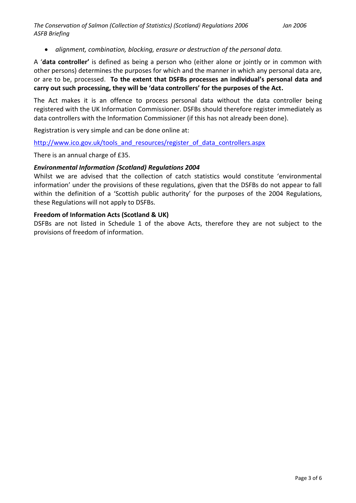*alignment, combination, blocking, erasure or destruction of the personal data.*

A '**data controller'** is defined as being a person who (either alone or jointly or in common with other persons) determines the purposes for which and the manner in which any personal data are, or are to be, processed. **To the extent that DSFBs processes an individual's personal data and carry out such processing, they will be 'data controllers' for the purposes of the Act.**

The Act makes it is an offence to process personal data without the data controller being registered with the UK Information Commissioner. DSFBs should therefore register immediately as data controllers with the Information Commissioner (if this has not already been done).

Registration is very simple and can be done online at:

[http://www.ico.gov.uk/tools\\_and\\_resources/register\\_of\\_data\\_controllers.aspx](http://www.ico.gov.uk/tools_and_resources/register_of_data_controllers.aspx)

There is an annual charge of £35.

### *Environmental Information (Scotland) Regulations 2004*

Whilst we are advised that the collection of catch statistics would constitute 'environmental information' under the provisions of these regulations, given that the DSFBs do not appear to fall within the definition of a 'Scottish public authority' for the purposes of the 2004 Regulations, these Regulations will not apply to DSFBs.

#### **Freedom of Information Acts (Scotland & UK)**

DSFBs are not listed in Schedule 1 of the above Acts, therefore they are not subject to the provisions of freedom of information.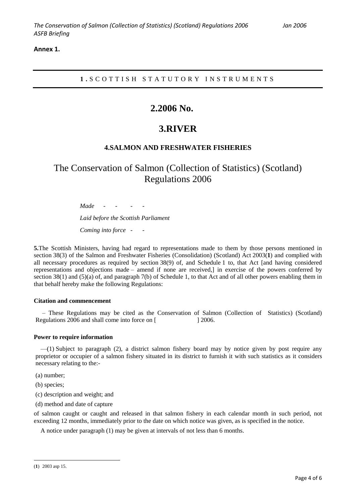#### **Annex 1.**

### **1 .** S C O T T I S H S T A T U T O R Y I N S T R U M E N T S

## **2.2006 No.**

## **3.RIVER**

## **4.SALMON AND FRESHWATER FISHERIES**

## The Conservation of Salmon (Collection of Statistics) (Scotland) Regulations 2006

*Made - - - - Laid before the Scottish Parliament Coming into force - -*

**5.**The Scottish Ministers, having had regard to representations made to them by those persons mentioned in section 38(3) of the Salmon and Freshwater Fisheries (Consolidation) (Scotland) Act 2003(**1**) and complied with all necessary procedures as required by section 38(9) of, and Schedule 1 to, that Act [and having considered representations and objections made – amend if none are received,] in exercise of the powers conferred by section  $38(1)$  and  $(5)(a)$  of, and paragraph 7(b) of Schedule 1, to that Act and of all other powers enabling them in that behalf hereby make the following Regulations:

#### **Citation and commencement**

– These Regulations may be cited as the Conservation of Salmon (Collection of Statistics) (Scotland) Regulations 2006 and shall come into force on [  $\qquad$  | 2006.

#### **Power to require information**

 $-(1)$  Subject to paragraph (2), a district salmon fishery board may by notice given by post require any proprietor or occupier of a salmon fishery situated in its district to furnish it with such statistics as it considers necessary relating to the:-

(a) number;

(b) species;

(c) description and weight; and

(d) method and date of capture

of salmon caught or caught and released in that salmon fishery in each calendar month in such period, not exceeding 12 months, immediately prior to the date on which notice was given, as is specified in the notice.

A notice under paragraph (1) may be given at intervals of not less than 6 months.

<u>.</u>

<sup>(</sup>**1**) 2003 asp 15.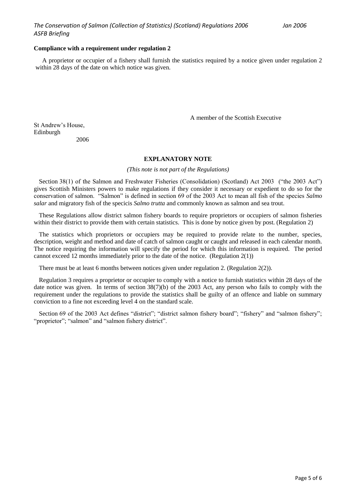#### **Compliance with a requirement under regulation 2**

A proprietor or occupier of a fishery shall furnish the statistics required by a notice given under regulation 2 within 28 days of the date on which notice was given.

A member of the Scottish Executive

St Andrew's House, Edinburgh 2006

**EXPLANATORY NOTE**

*(This note is not part of the Regulations)*

Section 38(1) of the Salmon and Freshwater Fisheries (Consolidation) (Scotland) Act 2003 ("the 2003 Act") gives Scottish Ministers powers to make regulations if they consider it necessary or expedient to do so for the conservation of salmon. "Salmon" is defined in section 69 of the 2003 Act to mean all fish of the species *Salmo salar* and migratory fish of the specicis *Salmo trutta* and commonly known as salmon and sea trout.

These Regulations allow district salmon fishery boards to require proprietors or occupiers of salmon fisheries within their district to provide them with certain statistics. This is done by notice given by post. (Regulation 2)

The statistics which proprietors or occupiers may be required to provide relate to the number, species, description, weight and method and date of catch of salmon caught or caught and released in each calendar month. The notice requiring the information will specify the period for which this information is required. The period cannot exceed 12 months immediately prior to the date of the notice. (Regulation 2(1))

There must be at least 6 months between notices given under regulation 2. (Regulation  $2(2)$ ).

Regulation 3 requires a proprietor or occupier to comply with a notice to furnish statistics within 28 days of the date notice was given. In terms of section 38(7)(b) of the 2003 Act, any person who fails to comply with the requirement under the regulations to provide the statistics shall be guilty of an offence and liable on summary conviction to a fine not exceeding level 4 on the standard scale.

Section 69 of the 2003 Act defines "district"; "district salmon fishery board"; "fishery" and "salmon fishery"; "proprietor"; "salmon" and "salmon fishery district".